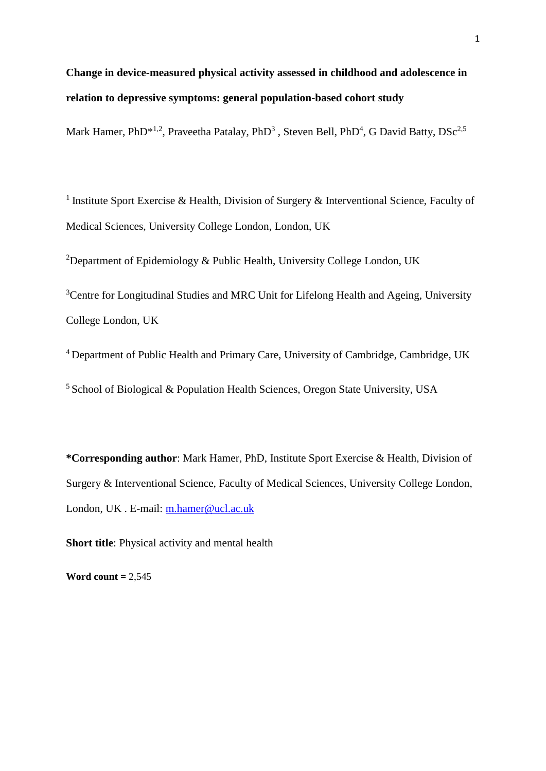# **Change in device-measured physical activity assessed in childhood and adolescence in relation to depressive symptoms: general population-based cohort study**

Mark Hamer, PhD<sup>\*1,2</sup>, Praveetha Patalay, PhD<sup>3</sup>, Steven Bell, PhD<sup>4</sup>, G David Batty, DSc<sup>2,5</sup>

<sup>1</sup> Institute Sport Exercise & Health, Division of Surgery & Interventional Science, Faculty of Medical Sciences, University College London, London, UK

<sup>2</sup>Department of Epidemiology & Public Health, University College London, UK

<sup>3</sup>Centre for Longitudinal Studies and MRC Unit for Lifelong Health and Ageing, University College London, UK

<sup>4</sup>Department of Public Health and Primary Care, University of Cambridge, Cambridge, UK

 $5$  School of Biological & Population Health Sciences, Oregon State University, USA

**\*Corresponding author**: Mark Hamer, PhD, Institute Sport Exercise & Health, Division of Surgery & Interventional Science, Faculty of Medical Sciences, University College London, London, UK . E-mail: [m.hamer@ucl.ac.uk](mailto:m.hamer@ucl.ac.uk) 

**Short title**: Physical activity and mental health

**Word count =** 2,545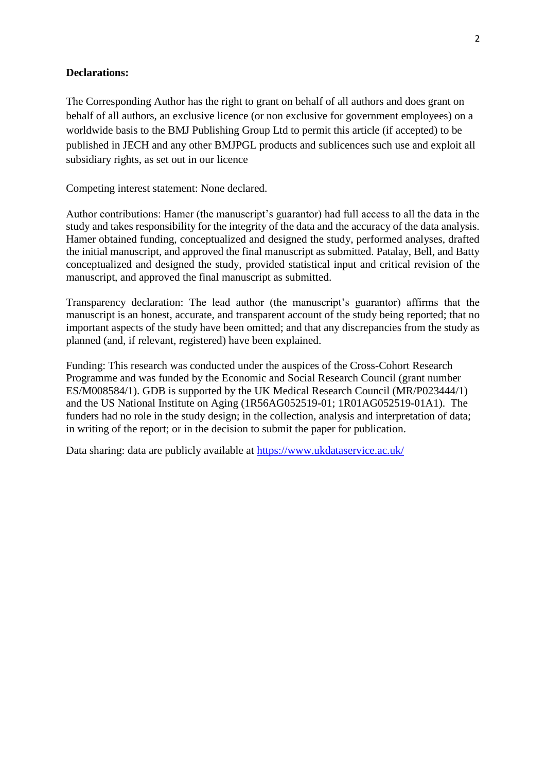## **Declarations:**

The Corresponding Author has the right to grant on behalf of all authors and does grant on behalf of all authors, an exclusive licence (or non exclusive for government employees) on a worldwide basis to the BMJ Publishing Group Ltd to permit this article (if accepted) to be published in JECH and any other BMJPGL products and sublicences such use and exploit all subsidiary rights, as set out in our licence

Competing interest statement: None declared.

Author contributions: Hamer (the manuscript's guarantor) had full access to all the data in the study and takes responsibility for the integrity of the data and the accuracy of the data analysis. Hamer obtained funding, conceptualized and designed the study, performed analyses, drafted the initial manuscript, and approved the final manuscript as submitted. Patalay, Bell, and Batty conceptualized and designed the study, provided statistical input and critical revision of the manuscript, and approved the final manuscript as submitted.

Transparency declaration: The lead author (the manuscript's guarantor) affirms that the manuscript is an honest, accurate, and transparent account of the study being reported; that no important aspects of the study have been omitted; and that any discrepancies from the study as planned (and, if relevant, registered) have been explained.

Funding: This research was conducted under the auspices of the Cross-Cohort Research Programme and was funded by the Economic and Social Research Council (grant number ES/M008584/1). GDB is supported by the UK Medical Research Council (MR/P023444/1) and the US National Institute on Aging (1R56AG052519-01; 1R01AG052519-01A1). The funders had no role in the study design; in the collection, analysis and interpretation of data; in writing of the report; or in the decision to submit the paper for publication.

Data sharing: data are publicly available at<https://www.ukdataservice.ac.uk/>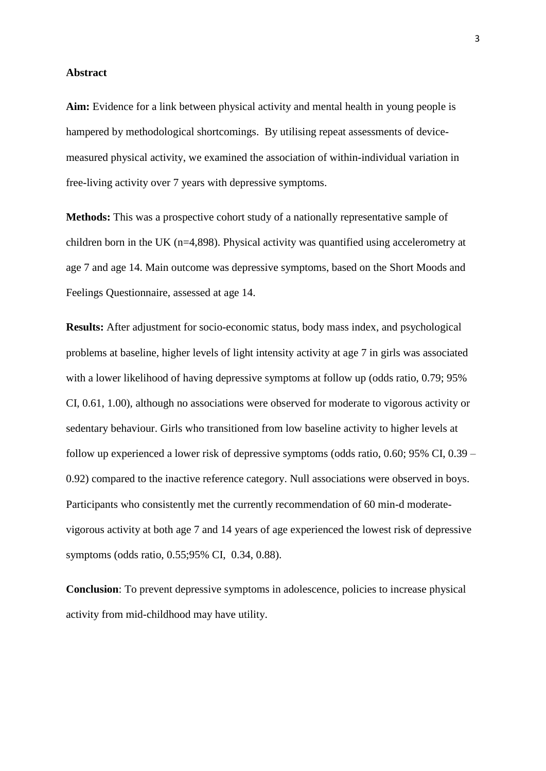#### **Abstract**

**Aim:** Evidence for a link between physical activity and mental health in young people is hampered by methodological shortcomings. By utilising repeat assessments of devicemeasured physical activity, we examined the association of within-individual variation in free-living activity over 7 years with depressive symptoms.

**Methods:** This was a prospective cohort study of a nationally representative sample of children born in the UK (n=4,898). Physical activity was quantified using accelerometry at age 7 and age 14. Main outcome was depressive symptoms, based on the Short Moods and Feelings Questionnaire, assessed at age 14.

**Results:** After adjustment for socio-economic status, body mass index, and psychological problems at baseline, higher levels of light intensity activity at age 7 in girls was associated with a lower likelihood of having depressive symptoms at follow up (odds ratio, 0.79; 95%) CI, 0.61, 1.00), although no associations were observed for moderate to vigorous activity or sedentary behaviour. Girls who transitioned from low baseline activity to higher levels at follow up experienced a lower risk of depressive symptoms (odds ratio, 0.60; 95% CI, 0.39 – 0.92) compared to the inactive reference category. Null associations were observed in boys. Participants who consistently met the currently recommendation of 60 min-d moderatevigorous activity at both age 7 and 14 years of age experienced the lowest risk of depressive symptoms (odds ratio, 0.55;95% CI, 0.34, 0.88).

**Conclusion**: To prevent depressive symptoms in adolescence, policies to increase physical activity from mid-childhood may have utility.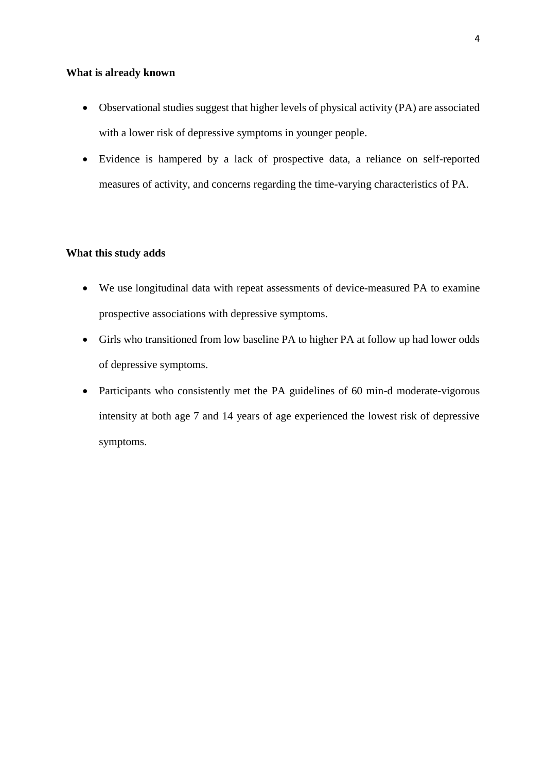#### **What is already known**

- Observational studies suggest that higher levels of physical activity (PA) are associated with a lower risk of depressive symptoms in younger people.
- Evidence is hampered by a lack of prospective data, a reliance on self-reported measures of activity, and concerns regarding the time-varying characteristics of PA.

# **What this study adds**

- We use longitudinal data with repeat assessments of device-measured PA to examine prospective associations with depressive symptoms.
- Girls who transitioned from low baseline PA to higher PA at follow up had lower odds of depressive symptoms.
- Participants who consistently met the PA guidelines of 60 min-d moderate-vigorous intensity at both age 7 and 14 years of age experienced the lowest risk of depressive symptoms.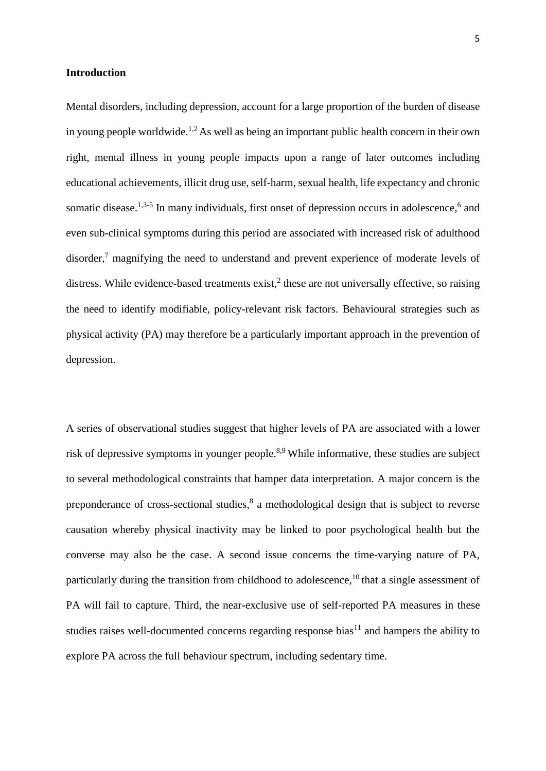#### **Introduction**

Mental disorders, including depression, account for a large proportion of the burden of disease in young people worldwide.<sup>1,2</sup> As well as being an important public health concern in their own right, mental illness in young people impacts upon a range of later outcomes including educational achievements, illicit drug use, self-harm, sexual health, life expectancy and chronic somatic disease.<sup>1,3-5</sup> In many individuals, first onset of depression occurs in adolescence,<sup>6</sup> and even sub-clinical symptoms during this period are associated with increased risk of adulthood disorder,<sup>7</sup> magnifying the need to understand and prevent experience of moderate levels of distress. While evidence-based treatments exist,<sup>2</sup> these are not universally effective, so raising the need to identify modifiable, policy-relevant risk factors. Behavioural strategies such as physical activity (PA) may therefore be a particularly important approach in the prevention of depression.

A series of observational studies suggest that higher levels of PA are associated with a lower risk of depressive symptoms in younger people.<sup>8,9</sup> While informative, these studies are subject to several methodological constraints that hamper data interpretation. A major concern is the preponderance of cross-sectional studies,<sup>8</sup> a methodological design that is subject to reverse causation whereby physical inactivity may be linked to poor psychological health but the converse may also be the case. A second issue concerns the time-varying nature of PA, particularly during the transition from childhood to adolescence,<sup>10</sup> that a single assessment of PA will fail to capture. Third, the near-exclusive use of self-reported PA measures in these studies raises well-documented concerns regarding response bias $11$  and hampers the ability to explore PA across the full behaviour spectrum, including sedentary time.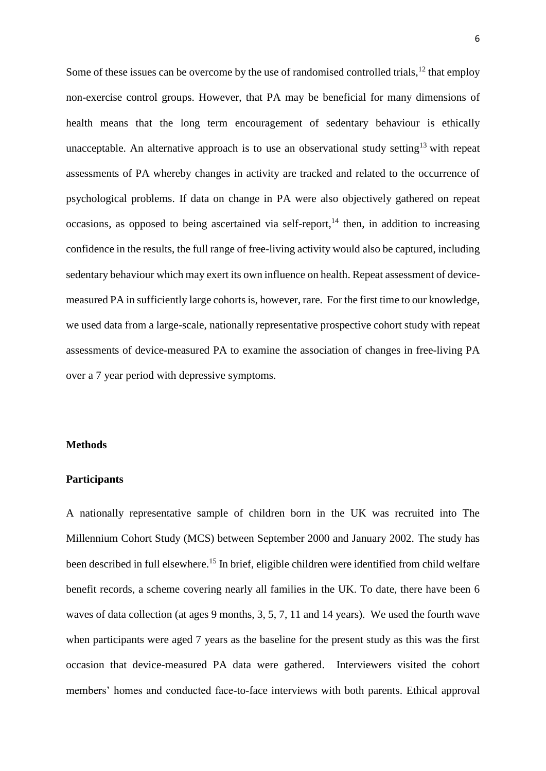Some of these issues can be overcome by the use of randomised controlled trials,<sup>12</sup> that employ non-exercise control groups. However, that PA may be beneficial for many dimensions of health means that the long term encouragement of sedentary behaviour is ethically unacceptable. An alternative approach is to use an observational study setting<sup>13</sup> with repeat assessments of PA whereby changes in activity are tracked and related to the occurrence of psychological problems. If data on change in PA were also objectively gathered on repeat occasions, as opposed to being ascertained via self-report, $14$  then, in addition to increasing confidence in the results, the full range of free-living activity would also be captured, including sedentary behaviour which may exert its own influence on health. Repeat assessment of devicemeasured PA in sufficiently large cohorts is, however, rare. For the first time to our knowledge, we used data from a large-scale, nationally representative prospective cohort study with repeat assessments of device-measured PA to examine the association of changes in free-living PA over a 7 year period with depressive symptoms.

## **Methods**

## **Participants**

A nationally representative sample of children born in the UK was recruited into The Millennium Cohort Study (MCS) between September 2000 and January 2002. The study has been described in full elsewhere.<sup>15</sup> In brief, eligible children were identified from child welfare benefit records, a scheme covering nearly all families in the UK. To date, there have been 6 waves of data collection (at ages 9 months, 3, 5, 7, 11 and 14 years). We used the fourth wave when participants were aged 7 years as the baseline for the present study as this was the first occasion that device-measured PA data were gathered. Interviewers visited the cohort members' homes and conducted face-to-face interviews with both parents. Ethical approval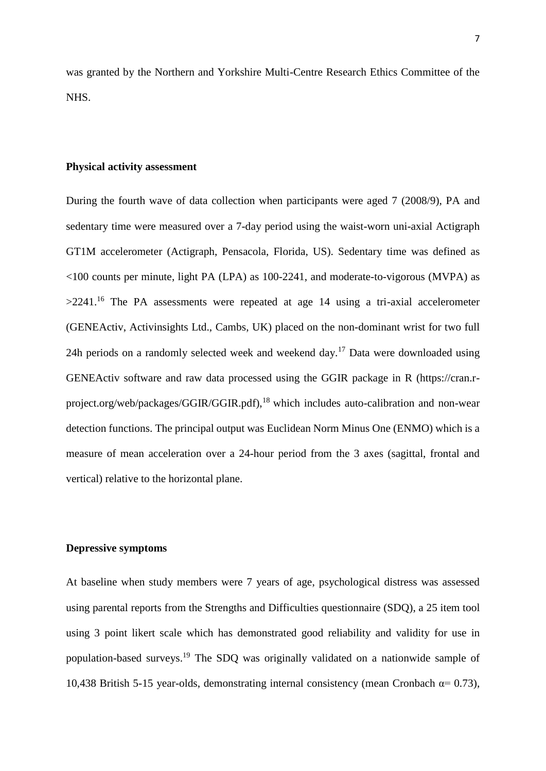was granted by the Northern and Yorkshire Multi-Centre Research Ethics Committee of the NHS.

# **Physical activity assessment**

During the fourth wave of data collection when participants were aged 7 (2008/9), PA and sedentary time were measured over a 7-day period using the waist-worn uni-axial Actigraph GT1M accelerometer (Actigraph, Pensacola, Florida, US). Sedentary time was defined as <100 counts per minute, light PA (LPA) as 100-2241, and moderate-to-vigorous (MVPA) as  $>2241$ .<sup>16</sup> The PA assessments were repeated at age 14 using a tri-axial accelerometer (GENEActiv, Activinsights Ltd., Cambs, UK) placed on the non-dominant wrist for two full 24h periods on a randomly selected week and weekend day.<sup>17</sup> Data were downloaded using GENEActiv software and raw data processed using the GGIR package in R (https://cran.rproject.org/web/packages/GGIR/GGIR.pdf),<sup>18</sup> which includes auto-calibration and non-wear detection functions. The principal output was Euclidean Norm Minus One (ENMO) which is a measure of mean acceleration over a 24-hour period from the 3 axes (sagittal, frontal and vertical) relative to the horizontal plane.

# **Depressive symptoms**

At baseline when study members were 7 years of age, psychological distress was assessed using parental reports from the Strengths and Difficulties questionnaire (SDQ), a 25 item tool using 3 point likert scale which has demonstrated good reliability and validity for use in population-based surveys.<sup>19</sup> The SDQ was originally validated on a nationwide sample of 10,438 British 5-15 year-olds, demonstrating internal consistency (mean Cronbach  $\alpha$ = 0.73),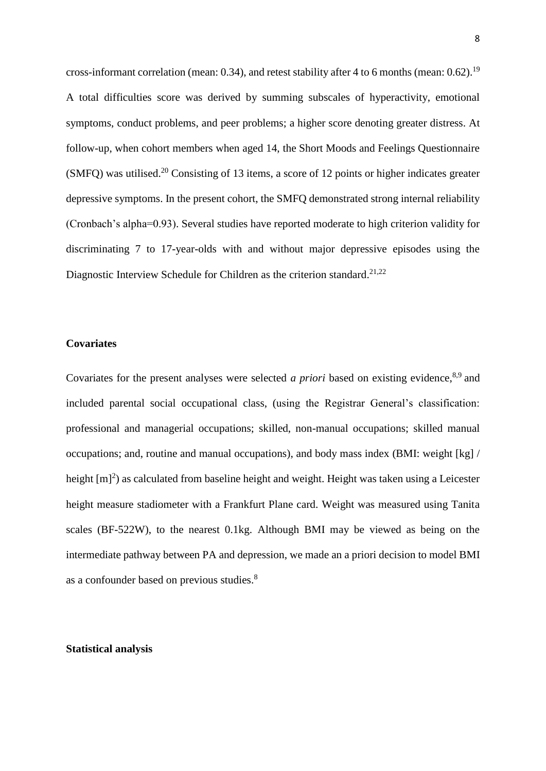cross-informant correlation (mean: 0.34), and retest stability after 4 to 6 months (mean: 0.62).<sup>19</sup> A total difficulties score was derived by summing subscales of hyperactivity, emotional symptoms, conduct problems, and peer problems; a higher score denoting greater distress. At follow-up, when cohort members when aged 14, the Short Moods and Feelings Questionnaire  $(SMFQ)$  was utilised.<sup>20</sup> Consisting of 13 items, a score of 12 points or higher indicates greater depressive symptoms. In the present cohort, the SMFQ demonstrated strong internal reliability (Cronbach's alpha=0.93). Several studies have reported moderate to high criterion validity for discriminating 7 to 17-year-olds with and without major depressive episodes using the Diagnostic Interview Schedule for Children as the criterion standard.<sup>21,22</sup>

## **Covariates**

Covariates for the present analyses were selected *a priori* based on existing evidence,<sup>8,9</sup> and included parental social occupational class, (using the Registrar General's classification: professional and managerial occupations; skilled, non-manual occupations; skilled manual occupations; and, routine and manual occupations), and body mass index (BMI: weight [kg] / height  $[m]^2$ ) as calculated from baseline height and weight. Height was taken using a Leicester height measure stadiometer with a Frankfurt Plane card. Weight was measured using Tanita scales (BF-522W), to the nearest 0.1kg. Although BMI may be viewed as being on the intermediate pathway between PA and depression, we made an a priori decision to model BMI as a confounder based on previous studies.<sup>8</sup>

# **Statistical analysis**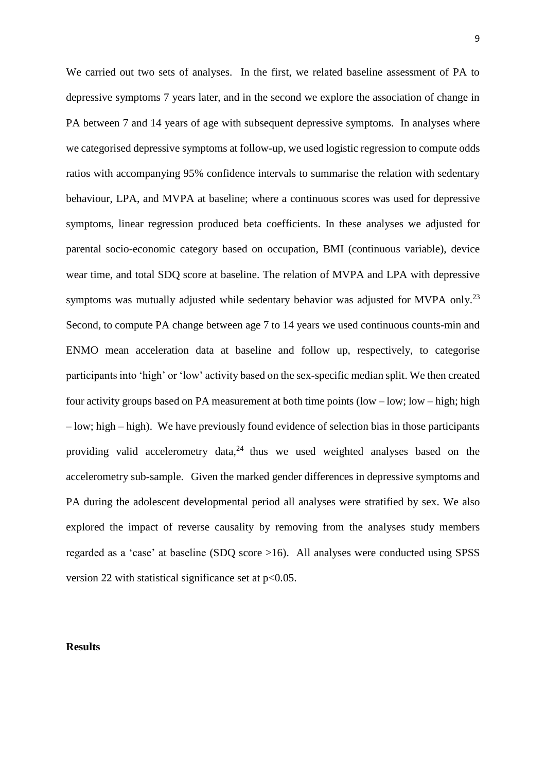We carried out two sets of analyses. In the first, we related baseline assessment of PA to depressive symptoms 7 years later, and in the second we explore the association of change in PA between 7 and 14 years of age with subsequent depressive symptoms. In analyses where we categorised depressive symptoms at follow-up, we used logistic regression to compute odds ratios with accompanying 95% confidence intervals to summarise the relation with sedentary behaviour, LPA, and MVPA at baseline; where a continuous scores was used for depressive symptoms, linear regression produced beta coefficients. In these analyses we adjusted for parental socio-economic category based on occupation, BMI (continuous variable), device wear time, and total SDQ score at baseline. The relation of MVPA and LPA with depressive symptoms was mutually adjusted while sedentary behavior was adjusted for MVPA only.<sup>23</sup> Second, to compute PA change between age 7 to 14 years we used continuous counts-min and ENMO mean acceleration data at baseline and follow up, respectively, to categorise participants into 'high' or 'low' activity based on the sex-specific median split. We then created four activity groups based on PA measurement at both time points (low – low; low – high; high – low; high – high). We have previously found evidence of selection bias in those participants providing valid accelerometry data, $24$  thus we used weighted analyses based on the accelerometry sub-sample. Given the marked gender differences in depressive symptoms and PA during the adolescent developmental period all analyses were stratified by sex. We also explored the impact of reverse causality by removing from the analyses study members regarded as a 'case' at baseline (SDQ score >16). All analyses were conducted using SPSS version 22 with statistical significance set at  $p<0.05$ .

## **Results**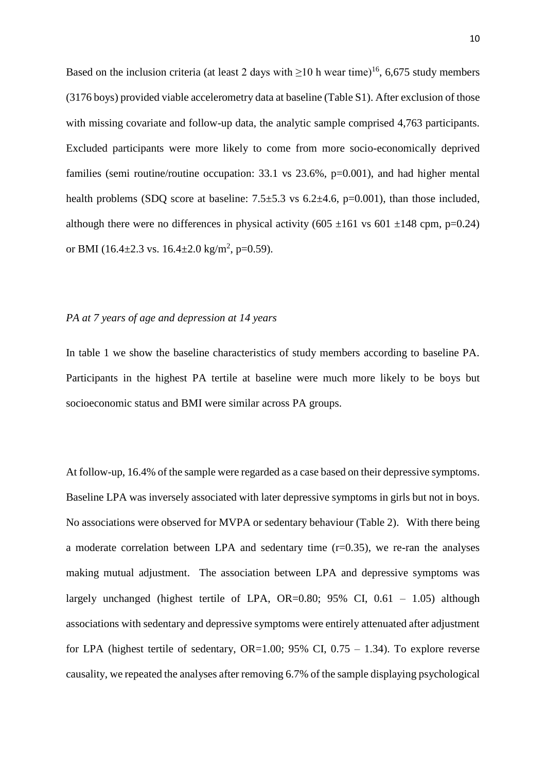Based on the inclusion criteria (at least 2 days with  $\geq 10$  h wear time)<sup>16</sup>, 6,675 study members (3176 boys) provided viable accelerometry data at baseline (Table S1). After exclusion of those with missing covariate and follow-up data, the analytic sample comprised 4,763 participants. Excluded participants were more likely to come from more socio-economically deprived families (semi routine/routine occupation: 33.1 vs 23.6%, p=0.001), and had higher mental health problems (SDQ score at baseline:  $7.5\pm5.3$  vs  $6.2\pm4.6$ ,  $p=0.001$ ), than those included, although there were no differences in physical activity (605  $\pm$ 161 vs 601  $\pm$ 148 cpm, p=0.24) or BMI (16.4 $\pm$ 2.3 vs. 16.4 $\pm$ 2.0 kg/m<sup>2</sup>, p=0.59).

## *PA at 7 years of age and depression at 14 years*

In table 1 we show the baseline characteristics of study members according to baseline PA. Participants in the highest PA tertile at baseline were much more likely to be boys but socioeconomic status and BMI were similar across PA groups.

At follow-up, 16.4% of the sample were regarded as a case based on their depressive symptoms. Baseline LPA was inversely associated with later depressive symptoms in girls but not in boys. No associations were observed for MVPA or sedentary behaviour (Table 2). With there being a moderate correlation between LPA and sedentary time  $(r=0.35)$ , we re-ran the analyses making mutual adjustment. The association between LPA and depressive symptoms was largely unchanged (highest tertile of LPA,  $OR=0.80$ ; 95% CI,  $0.61 - 1.05$ ) although associations with sedentary and depressive symptoms were entirely attenuated after adjustment for LPA (highest tertile of sedentary, OR=1.00;  $95\%$  CI,  $0.75 - 1.34$ ). To explore reverse causality, we repeated the analyses after removing 6.7% of the sample displaying psychological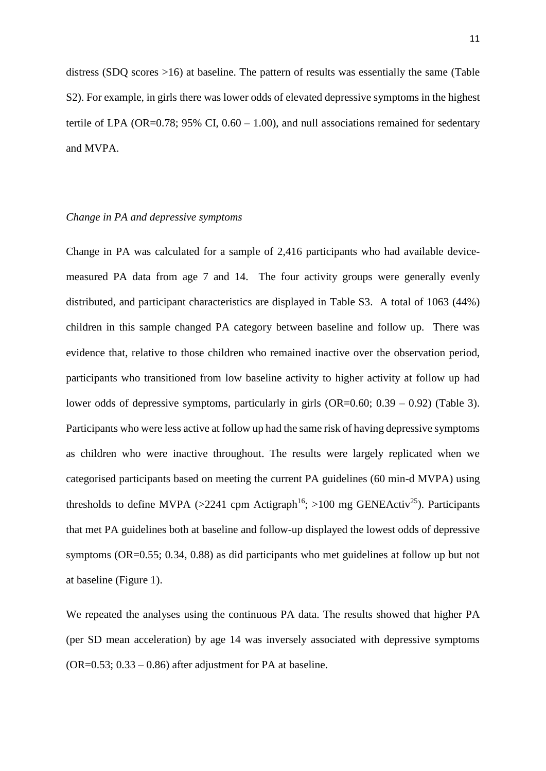distress (SDQ scores >16) at baseline. The pattern of results was essentially the same (Table S2). For example, in girls there was lower odds of elevated depressive symptoms in the highest tertile of LPA (OR=0.78; 95% CI,  $0.60 - 1.00$ ), and null associations remained for sedentary and MVPA.

## *Change in PA and depressive symptoms*

Change in PA was calculated for a sample of 2,416 participants who had available devicemeasured PA data from age 7 and 14. The four activity groups were generally evenly distributed, and participant characteristics are displayed in Table S3. A total of 1063 (44%) children in this sample changed PA category between baseline and follow up. There was evidence that, relative to those children who remained inactive over the observation period, participants who transitioned from low baseline activity to higher activity at follow up had lower odds of depressive symptoms, particularly in girls (OR=0.60; 0.39 – 0.92) (Table 3). Participants who were less active at follow up had the same risk of having depressive symptoms as children who were inactive throughout. The results were largely replicated when we categorised participants based on meeting the current PA guidelines (60 min-d MVPA) using thresholds to define MVPA (>2241 cpm Actigraph<sup>16</sup>; >100 mg GENEActiv<sup>25</sup>). Participants that met PA guidelines both at baseline and follow-up displayed the lowest odds of depressive symptoms (OR=0.55; 0.34, 0.88) as did participants who met guidelines at follow up but not at baseline (Figure 1).

We repeated the analyses using the continuous PA data. The results showed that higher PA (per SD mean acceleration) by age 14 was inversely associated with depressive symptoms  $(OR=0.53; 0.33 - 0.86)$  after adjustment for PA at baseline.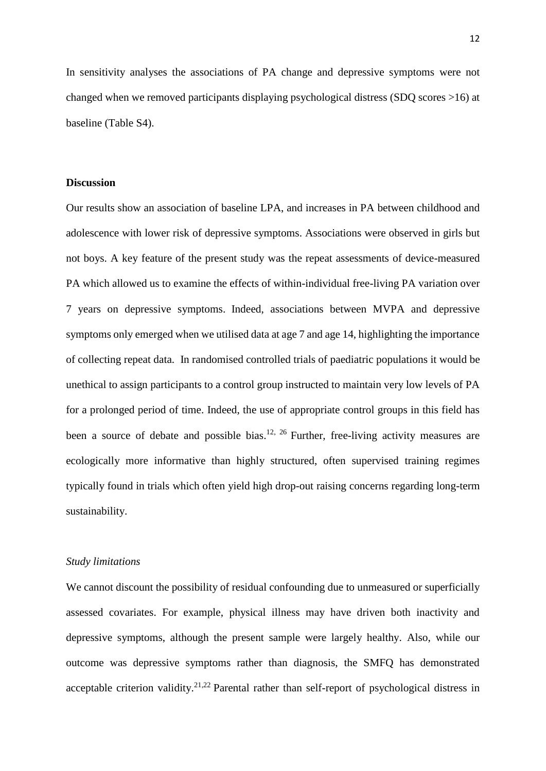In sensitivity analyses the associations of PA change and depressive symptoms were not changed when we removed participants displaying psychological distress (SDQ scores >16) at baseline (Table S4).

#### **Discussion**

Our results show an association of baseline LPA, and increases in PA between childhood and adolescence with lower risk of depressive symptoms. Associations were observed in girls but not boys. A key feature of the present study was the repeat assessments of device-measured PA which allowed us to examine the effects of within-individual free-living PA variation over 7 years on depressive symptoms. Indeed, associations between MVPA and depressive symptoms only emerged when we utilised data at age 7 and age 14, highlighting the importance of collecting repeat data. In randomised controlled trials of paediatric populations it would be unethical to assign participants to a control group instructed to maintain very low levels of PA for a prolonged period of time. Indeed, the use of appropriate control groups in this field has been a source of debate and possible bias.<sup>12, 26</sup> Further, free-living activity measures are ecologically more informative than highly structured, often supervised training regimes typically found in trials which often yield high drop-out raising concerns regarding long-term sustainability.

#### *Study limitations*

We cannot discount the possibility of residual confounding due to unmeasured or superficially assessed covariates. For example, physical illness may have driven both inactivity and depressive symptoms, although the present sample were largely healthy. Also, while our outcome was depressive symptoms rather than diagnosis, the SMFQ has demonstrated acceptable criterion validity.<sup>21,22</sup> Parental rather than self-report of psychological distress in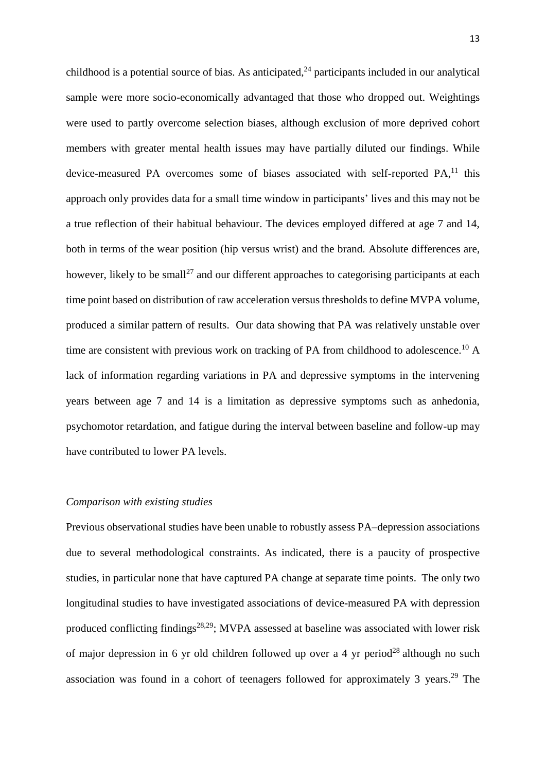childhood is a potential source of bias. As anticipated, $24$  participants included in our analytical sample were more socio-economically advantaged that those who dropped out. Weightings were used to partly overcome selection biases, although exclusion of more deprived cohort members with greater mental health issues may have partially diluted our findings. While device-measured PA overcomes some of biases associated with self-reported PA,<sup>11</sup> this approach only provides data for a small time window in participants' lives and this may not be a true reflection of their habitual behaviour. The devices employed differed at age 7 and 14, both in terms of the wear position (hip versus wrist) and the brand. Absolute differences are, however, likely to be small<sup>27</sup> and our different approaches to categorising participants at each time point based on distribution of raw acceleration versus thresholds to define MVPA volume, produced a similar pattern of results. Our data showing that PA was relatively unstable over time are consistent with previous work on tracking of PA from childhood to adolescence.<sup>10</sup> A lack of information regarding variations in PA and depressive symptoms in the intervening years between age 7 and 14 is a limitation as depressive symptoms such as anhedonia, psychomotor retardation, and fatigue during the interval between baseline and follow-up may have contributed to lower PA levels.

## *Comparison with existing studies*

Previous observational studies have been unable to robustly assess PA–depression associations due to several methodological constraints. As indicated, there is a paucity of prospective studies, in particular none that have captured PA change at separate time points. The only two longitudinal studies to have investigated associations of device-measured PA with depression produced conflicting findings<sup>28,29</sup>; MVPA assessed at baseline was associated with lower risk of major depression in 6 yr old children followed up over a 4 yr period<sup>28</sup> although no such association was found in a cohort of teenagers followed for approximately 3 years.<sup>29</sup> The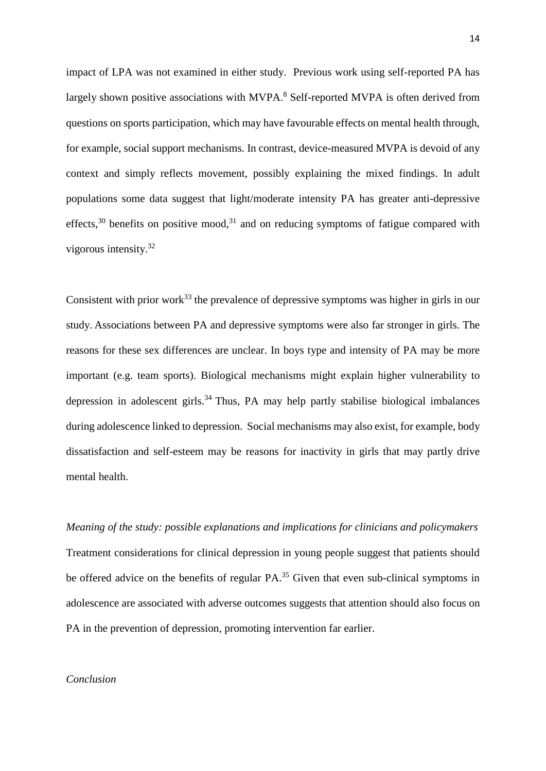impact of LPA was not examined in either study. Previous work using self-reported PA has largely shown positive associations with MVPA.<sup>8</sup> Self-reported MVPA is often derived from questions on sports participation, which may have favourable effects on mental health through, for example, social support mechanisms. In contrast, device-measured MVPA is devoid of any context and simply reflects movement, possibly explaining the mixed findings. In adult populations some data suggest that light/moderate intensity PA has greater anti-depressive effects,<sup>30</sup> benefits on positive mood,<sup>31</sup> and on reducing symptoms of fatigue compared with vigorous intensity.<sup>32</sup>

Consistent with prior work<sup>33</sup> the prevalence of depressive symptoms was higher in girls in our study. Associations between PA and depressive symptoms were also far stronger in girls. The reasons for these sex differences are unclear. In boys type and intensity of PA may be more important (e.g. team sports). Biological mechanisms might explain higher vulnerability to depression in adolescent girls.<sup>34</sup> Thus, PA may help partly stabilise biological imbalances during adolescence linked to depression. Social mechanisms may also exist, for example, body dissatisfaction and self-esteem may be reasons for inactivity in girls that may partly drive mental health.

*Meaning of the study: possible explanations and implications for clinicians and policymakers* Treatment considerations for clinical depression in young people suggest that patients should be offered advice on the benefits of regular PA.<sup>35</sup> Given that even sub-clinical symptoms in adolescence are associated with adverse outcomes suggests that attention should also focus on PA in the prevention of depression, promoting intervention far earlier.

# *Conclusion*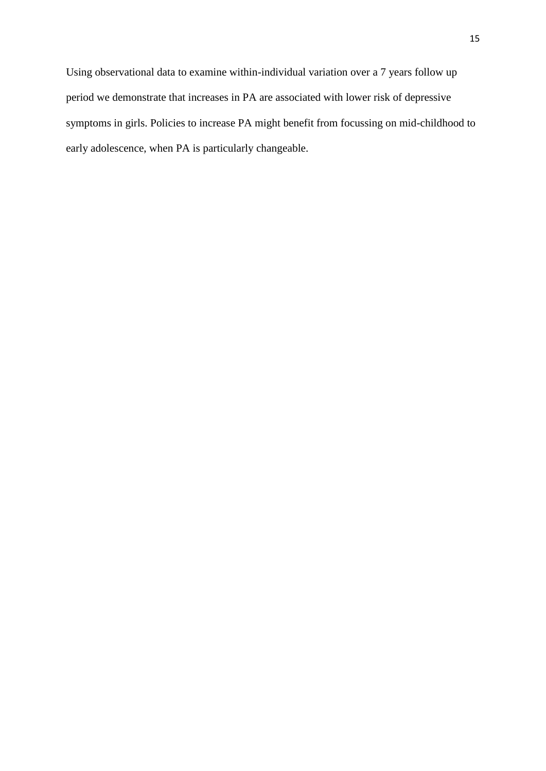Using observational data to examine within-individual variation over a 7 years follow up period we demonstrate that increases in PA are associated with lower risk of depressive symptoms in girls. Policies to increase PA might benefit from focussing on mid-childhood to early adolescence, when PA is particularly changeable.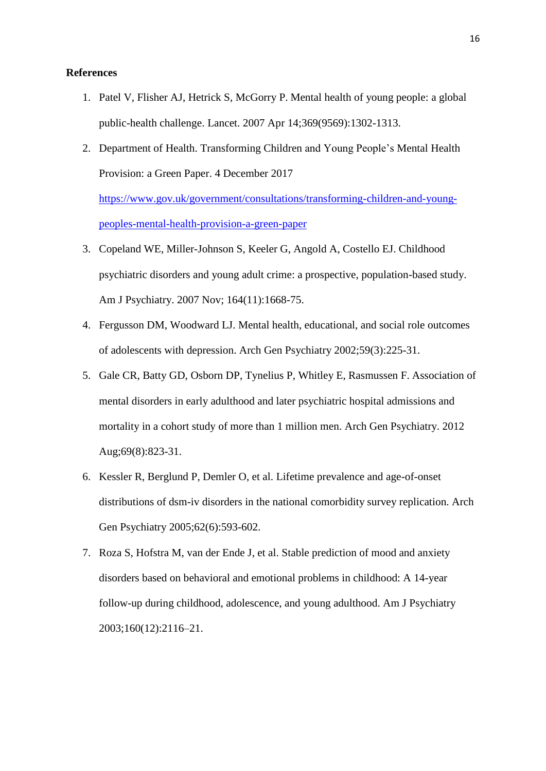## **References**

- 1. Patel V, Flisher AJ, Hetrick S, McGorry P. Mental health of young people: a global public-health challenge. Lancet. 2007 Apr 14;369(9569):1302-1313.
- 2. Department of Health. Transforming Children and Young People's Mental Health Provision: a Green Paper. 4 December 2017

[https://www.gov.uk/government/consultations/transforming-children-and-young](https://www.gov.uk/government/consultations/transforming-children-and-young-peoples-mental-health-provision-a-green-paper)[peoples-mental-health-provision-a-green-paper](https://www.gov.uk/government/consultations/transforming-children-and-young-peoples-mental-health-provision-a-green-paper)

- 3. Copeland WE, Miller-Johnson S, Keeler G, Angold A, Costello EJ. Childhood psychiatric disorders and young adult crime: a prospective, population-based study. Am J Psychiatry. 2007 Nov; 164(11):1668-75.
- 4. Fergusson DM, Woodward LJ. Mental health, educational, and social role outcomes of adolescents with depression. Arch Gen Psychiatry 2002;59(3):225-31.
- 5. Gale CR, Batty GD, Osborn DP, Tynelius P, Whitley E, Rasmussen F. Association of mental disorders in early adulthood and later psychiatric hospital admissions and mortality in a cohort study of more than 1 million men. Arch Gen Psychiatry. 2012 Aug;69(8):823-31.
- 6. Kessler R, Berglund P, Demler O, et al. Lifetime prevalence and age-of-onset distributions of dsm-iv disorders in the national comorbidity survey replication. Arch Gen Psychiatry 2005;62(6):593-602.
- 7. Roza S, Hofstra M, van der Ende J, et al. Stable prediction of mood and anxiety disorders based on behavioral and emotional problems in childhood: A 14-year follow-up during childhood, adolescence, and young adulthood. Am J Psychiatry 2003;160(12):2116–21.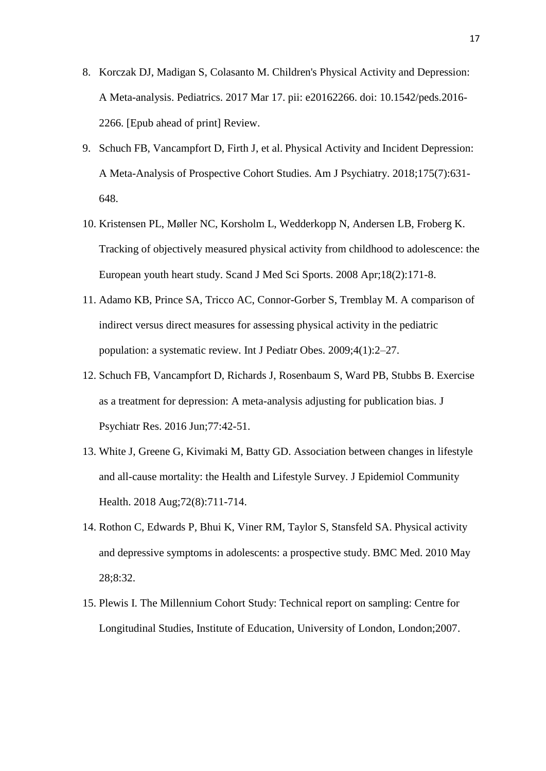- 8. Korczak DJ, Madigan S, Colasanto M. Children's Physical Activity and Depression: A Meta-analysis. Pediatrics. 2017 Mar 17. pii: e20162266. doi: 10.1542/peds.2016- 2266. [Epub ahead of print] Review.
- 9. Schuch FB, Vancampfort D, Firth J, et al. Physical Activity and Incident Depression: A Meta-Analysis of Prospective Cohort Studies. Am J Psychiatry. 2018;175(7):631- 648.
- 10. Kristensen PL, Møller NC, Korsholm L, Wedderkopp N, Andersen LB, Froberg K. Tracking of objectively measured physical activity from childhood to adolescence: the European youth heart study. Scand J Med Sci Sports. 2008 Apr;18(2):171-8.
- 11. Adamo KB, Prince SA, Tricco AC, Connor-Gorber S, Tremblay M. A comparison of indirect versus direct measures for assessing physical activity in the pediatric population: a systematic review. Int J Pediatr Obes. 2009;4(1):2–27.
- 12. Schuch FB, Vancampfort D, Richards J, Rosenbaum S, Ward PB, Stubbs B. Exercise as a treatment for depression: A meta-analysis adjusting for publication bias. J Psychiatr Res. 2016 Jun;77:42-51.
- 13. White J, Greene G, Kivimaki M, Batty GD. Association between changes in lifestyle and all-cause mortality: the Health and Lifestyle Survey. J Epidemiol Community Health. 2018 Aug;72(8):711-714.
- 14. Rothon C, Edwards P, Bhui K, Viner RM, Taylor S, Stansfeld SA. Physical activity and depressive symptoms in adolescents: a prospective study. BMC Med. 2010 May 28;8:32.
- 15. Plewis I. The Millennium Cohort Study: Technical report on sampling: Centre for Longitudinal Studies, Institute of Education, University of London, London;2007.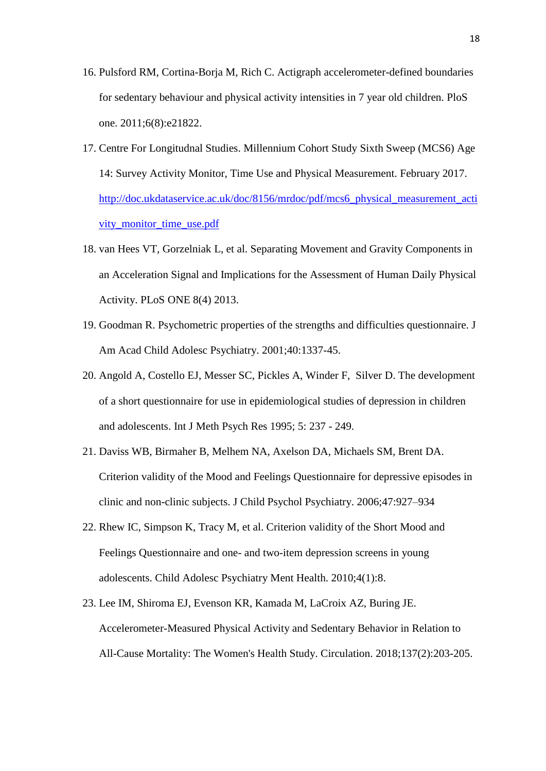- 16. Pulsford RM, Cortina-Borja M, Rich C. Actigraph accelerometer-defined boundaries for sedentary behaviour and physical activity intensities in 7 year old children. PloS one. 2011;6(8):e21822.
- 17. Centre For Longitudnal Studies. Millennium Cohort Study Sixth Sweep (MCS6) Age 14: Survey Activity Monitor, Time Use and Physical Measurement. February 2017. [http://doc.ukdataservice.ac.uk/doc/8156/mrdoc/pdf/mcs6\\_physical\\_measurement\\_acti](http://doc.ukdataservice.ac.uk/doc/8156/mrdoc/pdf/mcs6_physical_measurement_activity_monitor_time_use.pdf) [vity\\_monitor\\_time\\_use.pdf](http://doc.ukdataservice.ac.uk/doc/8156/mrdoc/pdf/mcs6_physical_measurement_activity_monitor_time_use.pdf)
- 18. van Hees VT, Gorzelniak L, et al. Separating Movement and Gravity Components in an Acceleration Signal and Implications for the Assessment of Human Daily Physical Activity. PLoS ONE 8(4) 2013.
- 19. Goodman R. Psychometric properties of the strengths and difficulties questionnaire. J Am Acad Child Adolesc Psychiatry. 2001;40:1337-45.
- 20. Angold A, Costello EJ, Messer SC, Pickles A, Winder F, Silver D. The development of a short questionnaire for use in epidemiological studies of depression in children and adolescents. Int J Meth Psych Res 1995; 5: 237 - 249.
- 21. Daviss WB, Birmaher B, Melhem NA, Axelson DA, Michaels SM, Brent DA. Criterion validity of the Mood and Feelings Questionnaire for depressive episodes in clinic and non-clinic subjects. J Child Psychol Psychiatry. 2006;47:927–934
- 22. Rhew IC, Simpson K, Tracy M, et al. Criterion validity of the Short Mood and Feelings Questionnaire and one- and two-item depression screens in young adolescents. Child Adolesc Psychiatry Ment Health. 2010;4(1):8.
- 23. Lee IM, Shiroma EJ, Evenson KR, Kamada M, LaCroix AZ, Buring JE. Accelerometer-Measured Physical Activity and Sedentary Behavior in Relation to All-Cause Mortality: The Women's Health Study. Circulation. 2018;137(2):203-205.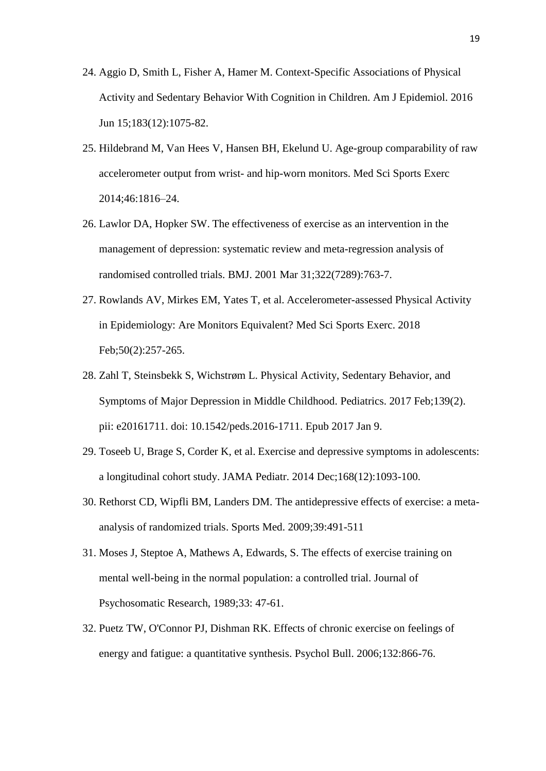- 24. Aggio D, Smith L, Fisher A, Hamer M. Context-Specific Associations of Physical Activity and Sedentary Behavior With Cognition in Children. Am J Epidemiol. 2016 Jun 15;183(12):1075-82.
- 25. Hildebrand M, Van Hees V, Hansen BH, Ekelund U. Age-group comparability of raw accelerometer output from wrist- and hip-worn monitors. Med Sci Sports Exerc 2014;46:1816–24.
- 26. Lawlor DA, Hopker SW. The effectiveness of exercise as an intervention in the management of depression: systematic review and meta-regression analysis of randomised controlled trials. BMJ. 2001 Mar 31;322(7289):763-7.
- 27. Rowlands AV, Mirkes EM, Yates T, et al. Accelerometer-assessed Physical Activity in Epidemiology: Are Monitors Equivalent? Med Sci Sports Exerc. 2018 Feb;50(2):257-265.
- 28. Zahl T, Steinsbekk S, Wichstrøm L. Physical Activity, Sedentary Behavior, and Symptoms of Major Depression in Middle Childhood. Pediatrics. 2017 Feb;139(2). pii: e20161711. doi: 10.1542/peds.2016-1711. Epub 2017 Jan 9.
- 29. Toseeb U, Brage S, Corder K, et al. Exercise and depressive symptoms in adolescents: a longitudinal cohort study. JAMA Pediatr. 2014 Dec;168(12):1093-100.
- 30. Rethorst CD, Wipfli BM, Landers DM. The antidepressive effects of exercise: a metaanalysis of randomized trials. Sports Med. 2009;39:491-511
- 31. Moses J, Steptoe A, Mathews A, Edwards, S. The effects of exercise training on mental well-being in the normal population: a controlled trial. Journal of Psychosomatic Research, 1989;33: 47-61.
- 32. Puetz TW, O'Connor PJ, Dishman RK. Effects of chronic exercise on feelings of energy and fatigue: a quantitative synthesis. Psychol Bull. 2006;132:866-76.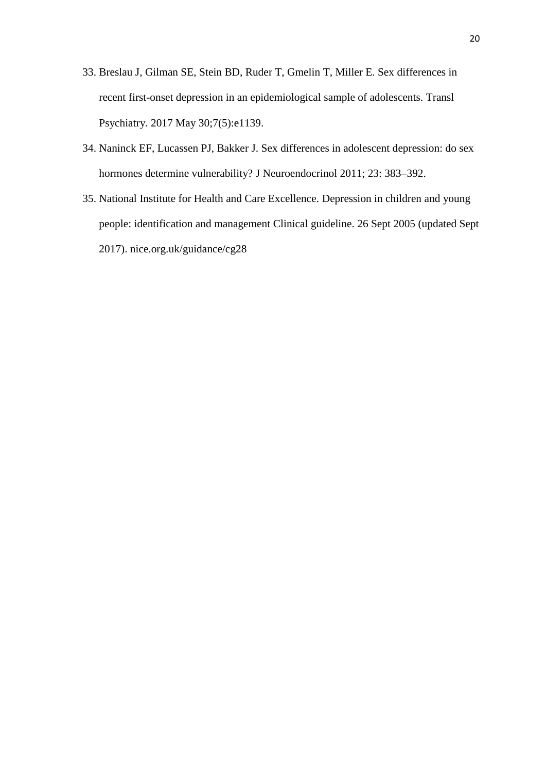- 33. Breslau J, Gilman SE, Stein BD, Ruder T, Gmelin T, Miller E. Sex differences in recent first-onset depression in an epidemiological sample of adolescents. Transl Psychiatry. 2017 May 30;7(5):e1139.
- 34. Naninck EF, Lucassen PJ, Bakker J. Sex differences in adolescent depression: do sex hormones determine vulnerability? J Neuroendocrinol 2011; 23: 383–392.
- 35. National Institute for Health and Care Excellence. Depression in children and young people: identification and management Clinical guideline. 26 Sept 2005 (updated Sept 2017). nice.org.uk/guidance/cg28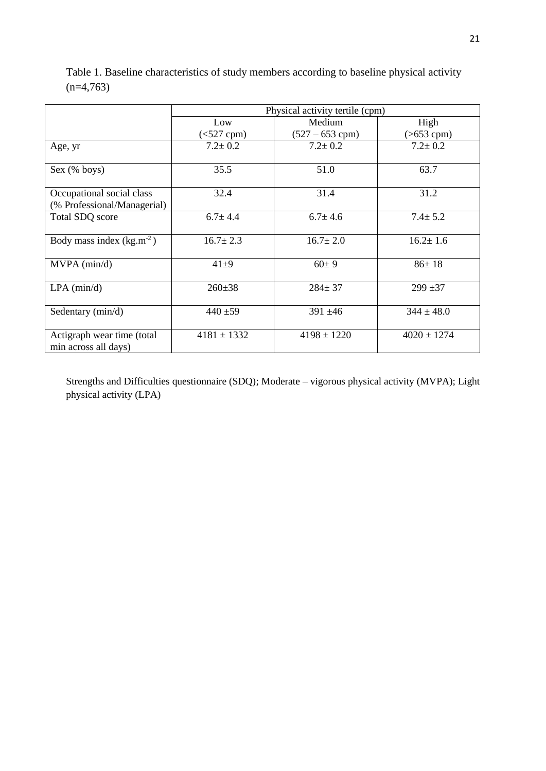|                                                          | Physical activity tertile (cpm) |                   |                 |  |  |  |  |
|----------------------------------------------------------|---------------------------------|-------------------|-----------------|--|--|--|--|
|                                                          | Low                             | Medium            | High            |  |  |  |  |
|                                                          | $(<527$ cpm $)$                 | $(527 - 653$ cpm) | $( > 653$ cpm)  |  |  |  |  |
| Age, yr                                                  | $7.2 \pm 0.2$                   | $7.2 \pm 0.2$     | $7.2 \pm 0.2$   |  |  |  |  |
| Sex (% boys)                                             | 35.5                            | 51.0              | 63.7            |  |  |  |  |
| Occupational social class<br>(% Professional/Managerial) | 32.4                            | 31.4              | 31.2            |  |  |  |  |
| Total SDQ score                                          | $6.7 \pm 4.4$                   | $6.7 \pm 4.6$     | $7.4 \pm 5.2$   |  |  |  |  |
| Body mass index $(kg.m^{-2})$                            | $16.7 \pm 2.3$                  | $16.7 \pm 2.0$    | $16.2 \pm 1.6$  |  |  |  |  |
| $MVPA$ ( $min/d$ )                                       | $41+9$                          | $60 \pm 9$        | $86 \pm 18$     |  |  |  |  |
| $LPA$ (min/d)                                            | $260 \pm 38$                    | $284 \pm 37$      | $299 + 37$      |  |  |  |  |
| Sedentary (min/d)                                        | $440 + 59$                      | $391 \pm 46$      | $344 \pm 48.0$  |  |  |  |  |
| Actigraph wear time (total<br>min across all days)       | $4181 \pm 1332$                 | $4198 \pm 1220$   | $4020 \pm 1274$ |  |  |  |  |

Table 1. Baseline characteristics of study members according to baseline physical activity  $(n=4,763)$ 

Strengths and Difficulties questionnaire (SDQ); Moderate – vigorous physical activity (MVPA); Light physical activity (LPA)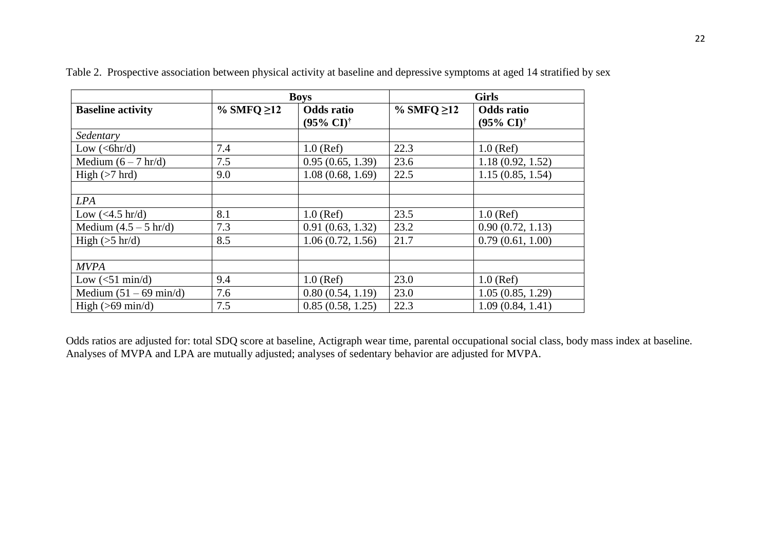|                            |                  | <b>Boys</b>                                        | <b>Girls</b>     |                                                    |  |
|----------------------------|------------------|----------------------------------------------------|------------------|----------------------------------------------------|--|
| <b>Baseline activity</b>   | % SMFQ $\geq$ 12 | <b>Odds</b> ratio<br>$(95\% \text{ CI})^{\dagger}$ | % SMFQ $\geq$ 12 | <b>Odds</b> ratio<br>$(95\% \text{ CI})^{\dagger}$ |  |
| Sedentary                  |                  |                                                    |                  |                                                    |  |
| Low $(<\frac{6}{h}$        | 7.4              | $1.0$ (Ref)                                        | 22.3             | $1.0$ (Ref)                                        |  |
| Medium $(6 - 7 hr/d)$      | 7.5              | 0.95(0.65, 1.39)                                   | 23.6             | 1.18(0.92, 1.52)                                   |  |
| High $(>7$ hrd)            | 9.0              | 1.08(0.68, 1.69)                                   | 22.5             | 1.15(0.85, 1.54)                                   |  |
|                            |                  |                                                    |                  |                                                    |  |
| <b>LPA</b>                 |                  |                                                    |                  |                                                    |  |
| Low $(<4.5$ hr/d)          | 8.1              | $1.0$ (Ref)                                        | 23.5             | $1.0$ (Ref)                                        |  |
| Medium $(4.5 - 5 hr/d)$    | 7.3              | 0.91(0.63, 1.32)                                   | 23.2             | 0.90(0.72, 1.13)                                   |  |
| High $(5 \text{ hr/d})$    | 8.5              | 1.06(0.72, 1.56)                                   | 21.7             | 0.79(0.61, 1.00)                                   |  |
|                            |                  |                                                    |                  |                                                    |  |
| <b>MVPA</b>                |                  |                                                    |                  |                                                    |  |
| Low $(<51 \text{ min/d})$  | 9.4              | $1.0$ (Ref)                                        | 23.0             | $1.0$ (Ref)                                        |  |
| Medium $(51 – 69 min/d)$   | 7.6              | 0.80(0.54, 1.19)                                   | 23.0             | 1.05(0.85, 1.29)                                   |  |
| High $(>69 \text{ min/d})$ | 7.5              | 0.85(0.58, 1.25)                                   | 22.3             | 1.09(0.84, 1.41)                                   |  |

Table 2. Prospective association between physical activity at baseline and depressive symptoms at aged 14 stratified by sex

Odds ratios are adjusted for: total SDQ score at baseline, Actigraph wear time, parental occupational social class, body mass index at baseline. Analyses of MVPA and LPA are mutually adjusted; analyses of sedentary behavior are adjusted for MVPA.